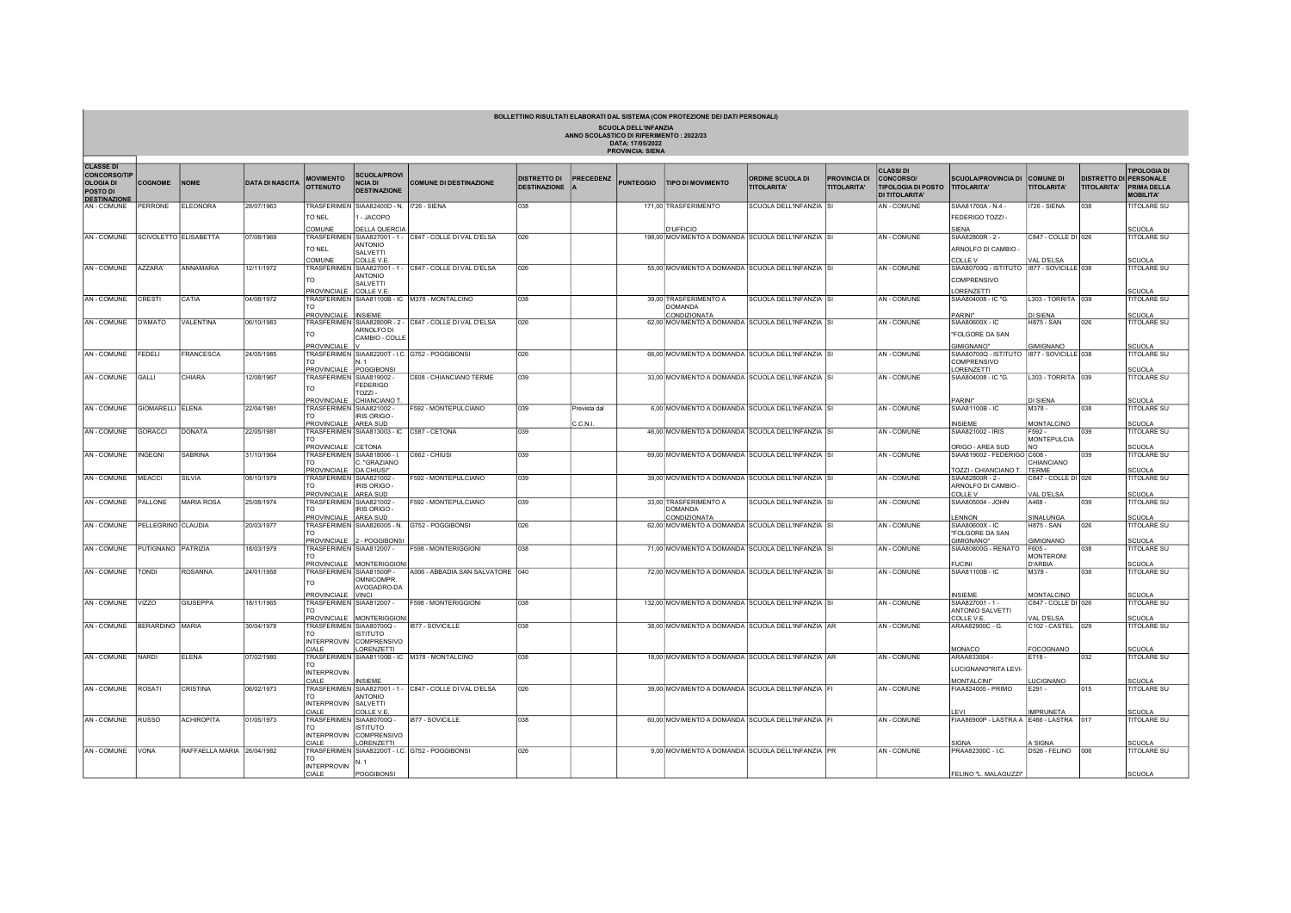| BOLLETTINO RISULTATI ELABORATI DAL SISTEMA (CON PROTEZIONE DEI DATI PERSONALI)<br><b>SCUOLA DELL'INFANZIA</b><br>ANNO SCOLASTICO DI RIFERIMENTO: 2022/23<br>DATA: 17/05/2022<br><b>PROVINCIA: SIENA</b> |                        |                            |                        |                                                |                                                              |                                                         |                                            |              |                  |                                                                   |                                               |                                           |                                                                                    |                                                  |                                        |                                                     |                                                               |
|---------------------------------------------------------------------------------------------------------------------------------------------------------------------------------------------------------|------------------------|----------------------------|------------------------|------------------------------------------------|--------------------------------------------------------------|---------------------------------------------------------|--------------------------------------------|--------------|------------------|-------------------------------------------------------------------|-----------------------------------------------|-------------------------------------------|------------------------------------------------------------------------------------|--------------------------------------------------|----------------------------------------|-----------------------------------------------------|---------------------------------------------------------------|
| <b>CLASSE DI</b><br><b>CONCORSO/TIP</b><br><b>OLOGIA DI</b><br>POSTO DI<br><b>DESTINAZIONE</b>                                                                                                          | <b>COGNOME</b>         | <b>NOME</b>                | <b>DATA DI NASCITA</b> | <b>MOVIMENTO</b><br><b>OTTENUTO</b>            | <b>SCUOLA/PROVI</b><br><b>NCIA DI</b><br><b>DESTINAZIONE</b> | <b>COMUNE DI DESTINAZIONE</b>                           | <b>DISTRETTO DI</b><br><b>DESTINAZIONE</b> | PRECEDENZ    | <b>PUNTEGGIO</b> | <b>TIPO DI MOVIMENTO</b>                                          | <b>ORDINE SCUOLA DI</b><br><b>TITOLARITA'</b> | <b>PROVINCIA DI</b><br><b>TITOLARITA'</b> | <b>CLASSIDI</b><br>CONCORSO/<br><b>TIPOLOGIA DI POSTO</b><br><b>DI TITOLARITA'</b> | <b>SCUOLA/PROVINCIA DI</b><br><b>TITOLARITA'</b> | <b>COMUNE DI</b><br><b>TITOLARITA'</b> | <b>DISTRETTO DI PERSONALE</b><br><b>TITOLARITA'</b> | <b>TIPOLOGIA DI</b><br><b>PRIMA DELLA</b><br><b>MOBILITA'</b> |
| AN - COMUNE                                                                                                                                                                                             | PERRONE                | ELEONORA                   | 28/07/1963             |                                                | TRASFERIMEN SIAA82400D - N. 1726 - SIENA                     |                                                         | <b>O<sub>38</sub></b>                      |              |                  | 171.00 TRASFERIMENTO                                              | SCUOLA DELL'INFANZIA SI                       |                                           | <b>AN-COMUNE</b>                                                                   | SIAA81700A - N.4 -                               | IZ26 - SIENA                           | 038                                                 | <b>TITOLARE SU</b>                                            |
|                                                                                                                                                                                                         |                        |                            |                        | TO NEL                                         | JACOPO                                                       |                                                         |                                            |              |                  |                                                                   |                                               |                                           |                                                                                    | FEDERIGO TOZZI-                                  |                                        |                                                     |                                                               |
|                                                                                                                                                                                                         |                        |                            |                        | COMUNE                                         | <b>DELLA QUERCI</b>                                          |                                                         |                                            |              |                  | <b>UFFICIO</b>                                                    |                                               |                                           |                                                                                    | SIENA                                            |                                        |                                                     | CUOLA                                                         |
| AN - COMUNE                                                                                                                                                                                             | SCIVOLETTO ELISABETTA  |                            | 07/08/1969             |                                                | <b>ANTONIO</b>                                               | TRASFERIMEN SIAA827001 - 1 - C847 - COLLE DI VAL D'ELSA | 026                                        |              |                  | 198,00 MOVIMENTO A DOMANDA SCUOLA DELL'INFANZIA SI                |                                               |                                           | <b>AN-COMUNE</b>                                                                   | SIAA82800R - 2 -                                 | C847 - COLLE DI 026                    |                                                     | <b>TITOLARE SU</b>                                            |
|                                                                                                                                                                                                         |                        |                            |                        | TO NEL                                         | SALVETTI                                                     |                                                         |                                            |              |                  |                                                                   |                                               |                                           |                                                                                    | ARNOLFO DI CAMBIO -                              |                                        |                                                     |                                                               |
|                                                                                                                                                                                                         |                        | ANNAMARIA                  | 12/11/1972             | COMUNE                                         | COLLE V.E                                                    |                                                         |                                            |              |                  |                                                                   |                                               |                                           | <b>AN-COMUNE</b>                                                                   | COLLE V                                          | VAL D'ELSA                             |                                                     | SCUOLA<br><b>TITOLARE SU</b>                                  |
| AN - COMUNE                                                                                                                                                                                             | AZZARA'                |                            |                        |                                                | <b>ANTONIO</b>                                               | TRASFERIMEN SIAA827001 - 1 - C847 - COLLE DI VAL D'ELSA | 026                                        |              |                  | 55,00 MOVIMENTO A DOMANDA SCUOLA DELL'INFANZIA SI                 |                                               |                                           |                                                                                    | SIAA80700Q - ISTITUTO   1877 - SOVICILLE 038     |                                        |                                                     |                                                               |
|                                                                                                                                                                                                         |                        |                            |                        | <b>TO</b>                                      | <b>SALVETTI</b>                                              |                                                         |                                            |              |                  |                                                                   |                                               |                                           |                                                                                    | <b>COMPRENSIVO</b>                               |                                        |                                                     |                                                               |
| AN - COMUNE                                                                                                                                                                                             | CRESTI                 | CATIA                      | 04/08/1972             | PROVINCIALE COLLEVE.                           |                                                              | TRASFERIMEN SIAA81100B - IC M378 - MONTALCINO           | 038                                        |              |                  | 39,00 TRASFERIMENTO A                                             | SCUOLA DELL'INFANZIA ISI                      |                                           | <b>AN-COMUNE</b>                                                                   | ORENZETTI<br>SIAA804008 - IC "G.                 | L303 - TORRITA 039                     |                                                     | SCUOLA<br><b>TITOLARE SU</b>                                  |
|                                                                                                                                                                                                         |                        |                            |                        |                                                |                                                              |                                                         |                                            |              |                  | DOMANDA                                                           |                                               |                                           |                                                                                    |                                                  |                                        |                                                     |                                                               |
| AN - COMUNE                                                                                                                                                                                             | D'AMATO                | VALENTINA                  | 06/10/1983             | PROVINCIALE INSIEME                            |                                                              | TRASFERIMEN SIAA82800R - 2 - C847 - COLLE DI VAL D'ELSA | 026                                        |              |                  | CONDIZIONATA<br>62,00 MOVIMENTO A DOMANDA SCUOLA DELL'INFANZIA SI |                                               |                                           | <b>AN-COMUNE</b>                                                                   | PARINI"<br>SIAA80600X - IC                       | <b>DI SIENA</b><br><b>H875 - SAN</b>   | 026                                                 | SCUOLA<br><b>TITOLARE SU</b>                                  |
|                                                                                                                                                                                                         |                        |                            |                        | TO.                                            | ARNOL FO DI                                                  |                                                         |                                            |              |                  |                                                                   |                                               |                                           |                                                                                    | "FOLGORE DA SAN                                  |                                        |                                                     |                                                               |
|                                                                                                                                                                                                         |                        |                            |                        | PROVINCIALE                                    | CAMBIO - COLLE                                               |                                                         |                                            |              |                  |                                                                   |                                               |                                           |                                                                                    | <b>GIMIGNANO"</b>                                | GIMIGNANO                              |                                                     | <b>SCUOLA</b>                                                 |
| AN - COMUNE                                                                                                                                                                                             | FEDELI                 | <b>FRANCESCA</b>           | 24/05/1985             |                                                |                                                              | TRASFERIMEN SIAA82200T - I.C. G752 - POGGIBONSI         | 026                                        |              |                  | 66,00 MOVIMENTO A DOMANDA SCUOLA DELL'INFANZIA SI                 |                                               |                                           | <b>AN-COMUNE</b>                                                                   | SIAA80700Q - ISTITUTO   1877 - SOVICILLE 038     |                                        |                                                     | <b>TITOLARE SU</b>                                            |
|                                                                                                                                                                                                         |                        |                            |                        | PROVINCIALE   POGGIBONSI                       | N 1                                                          |                                                         |                                            |              |                  |                                                                   |                                               |                                           |                                                                                    | COMPRENSIVO<br><b>ORENZETTI</b>                  |                                        |                                                     | SCUOLA                                                        |
| AN - COMUNE                                                                                                                                                                                             | GALLI                  | CHIARA                     | 12/08/1967             | TRASFERIMEN SIAA819002 -                       |                                                              | C608 - CHIANCIANO TERME                                 | 039                                        |              |                  | 33,00 MOVIMENTO A DOMANDA SCUOLA DELL'INFANZIA SI                 |                                               |                                           | AN - COMUNE                                                                        | SIAA804008 - IC "G.                              | L303 - TORRITA 039                     |                                                     | <b>TITOLARE SU</b>                                            |
|                                                                                                                                                                                                         |                        |                            |                        | TO.                                            | <b>FEDERIGO</b>                                              |                                                         |                                            |              |                  |                                                                   |                                               |                                           |                                                                                    |                                                  |                                        |                                                     |                                                               |
|                                                                                                                                                                                                         |                        |                            |                        |                                                | TO <sub>771</sub><br>PROVINCIALE CHIANCIANO T                |                                                         |                                            |              |                  |                                                                   |                                               |                                           |                                                                                    | PARINI"                                          | DI SIENA                               |                                                     | SCUOLA                                                        |
| AN - COMUNE                                                                                                                                                                                             | GIOMARELLI ELENA       |                            | 22/04/1981             | TRASFERIMEN SIAA821002 -                       |                                                              | F592 - MONTEPULCIANO                                    | 039                                        | Prevista dal |                  | 6,00 MOVIMENTO A DOMANDA SCUOLA DELL'INFANZIA SI                  |                                               |                                           | AN - COMUNE                                                                        | SIAA81100B - IC                                  | M378-                                  | 038                                                 | <b>TITOLARE SU</b>                                            |
|                                                                                                                                                                                                         |                        |                            |                        | PROVINCIALE AREA SUD                           | IRIS ORIGO -                                                 |                                                         |                                            | C.C.N.I.     |                  |                                                                   |                                               |                                           |                                                                                    | <b>NSIFMF</b>                                    | MONTALCINO                             |                                                     | SCUOLA                                                        |
| AN - COMUNE                                                                                                                                                                                             | GORACCI                | DONATA                     | 22/05/1981             |                                                | TRASFERIMEN SIAA813003 - IC C587 - CETONA                    |                                                         | 039                                        |              |                  | 46,00 MOVIMENTO A DOMANDA SCUOLA DELL'INFANZIA SI                 |                                               |                                           | <b>AN-COMUNE</b>                                                                   | SIAA821002 - IRIS                                | F592-                                  | 039                                                 | <b>TITOLARE SU</b>                                            |
|                                                                                                                                                                                                         |                        |                            |                        | TΩ<br>PROVINCIALE CETONA                       |                                                              |                                                         |                                            |              |                  |                                                                   |                                               |                                           |                                                                                    | ORIGO - AREA SUD                                 | <b>MONTEPULCIA</b><br>NO.              |                                                     | SCUOLA                                                        |
| AN - COMUNE                                                                                                                                                                                             | <b>INGEGNI</b>         | <b>SABRINA</b>             | 31/10/1964             |                                                | TRASFERIMEN SIAA818006 - I.                                  | C662 - CHIUSI                                           | 039                                        |              |                  | 69.00 MOVIMENTO A DOMANDA SCUOLA DELL'INFANZIA SI                 |                                               |                                           | AN - COMUNE                                                                        | SIAA819002 - FEDERIGO C608 -                     |                                        | 039                                                 | <b>TITOLARE SU</b>                                            |
|                                                                                                                                                                                                         |                        |                            |                        | TO.<br>PROVINCIALE DA CHIUSI"                  | C. "GRAZIANO                                                 |                                                         |                                            |              |                  |                                                                   |                                               |                                           |                                                                                    | TOZZI - CHIANCIANO T.                            | CHIANCIANO<br><b>TERME</b>             |                                                     | SCUOLA                                                        |
| AN - COMUNE                                                                                                                                                                                             | MEACCI                 | SILVIA                     | 08/10/1979             | TRASFERIMEN SIAA821002 -                       |                                                              | F592 - MONTEPULCIANO                                    | 039                                        |              |                  | 39,00 MOVIMENTO A DOMANDA SCUOLA DELL'INFANZIA SI                 |                                               |                                           | AN - COMUNE                                                                        | SIAA82800R - 2 -                                 | C847 - COLLE DI 026                    |                                                     | <b>TITOLARE SU</b>                                            |
|                                                                                                                                                                                                         |                        |                            |                        | l TO<br>PROVINCIALE AREA SUD                   | IRIS ORIGO -                                                 |                                                         |                                            |              |                  |                                                                   |                                               |                                           |                                                                                    | ARNOLFO DI CAMBIO -<br>COLLE V                   | VAL D'ELSA                             |                                                     | SCUOLA                                                        |
| AN - COMUNE                                                                                                                                                                                             | PALLONE                | <b>MARIA ROSA</b>          | 25/08/1974             | TRASFERIMEN SIAA821002 -                       |                                                              | F592 - MONTEPULCIANO                                    | 039                                        |              |                  | 33,00 TRASFERIMENTO A                                             | SCUOLA DELL'INFANZIA SI                       |                                           | <b>AN-COMUNE</b>                                                                   | SIAA805004 - JOHN                                | A468-                                  | 039                                                 | <b>TITOLARE SU</b>                                            |
|                                                                                                                                                                                                         |                        |                            |                        | TO.                                            | <b>IRIS ORIGO-</b>                                           |                                                         |                                            |              |                  | <b>DOMANDA</b>                                                    |                                               |                                           |                                                                                    |                                                  |                                        |                                                     |                                                               |
| AN - COMUNE                                                                                                                                                                                             | PELLEGRINO CLAUDIA     |                            | 20/03/1977             | PROVINCIALE AREA SUD                           |                                                              | TRASFERIMEN SIAA826005 - N. G752 - POGGIBONSI           | 026                                        |              |                  | CONDIZIONATA<br>62,00 MOVIMENTO A DOMANDA SCUOLA DELL'INFANZIA SI |                                               |                                           | AN - COMUNE                                                                        | <b>ENNON</b><br>SIAA80600X - IC                  | SINALUNGA<br>H875 - SAN                | 026                                                 | <b>SCUOLA</b><br><b>TITOLARE SU</b>                           |
| AN - COMUNE                                                                                                                                                                                             |                        |                            |                        |                                                | PROVINCIALE 2 - POGGIBONSI                                   |                                                         |                                            |              |                  |                                                                   |                                               |                                           |                                                                                    | "FOLGORE DA SAN<br>GIMIGNANO"                    | <b>GIMIGNANO</b>                       |                                                     | SCUOLA                                                        |
|                                                                                                                                                                                                         | PUTIGNANO PATRIZIA     |                            | 18/03/1979             | TRASFERIMEN SIAA812007 -                       |                                                              | F598 - MONTERIGGIONI                                    | 038                                        |              |                  | 71,00 MOVIMENTO A DOMANDA SCUOLA DELL'INFANZIA SI                 |                                               |                                           | AN - COMUNE                                                                        | SIAA80800G - RENATO                              | F605-                                  | 038                                                 | <b>TITOLARE SU</b>                                            |
|                                                                                                                                                                                                         |                        |                            |                        |                                                |                                                              |                                                         |                                            |              |                  |                                                                   |                                               |                                           |                                                                                    |                                                  | <b>MONTERONI</b>                       |                                                     |                                                               |
| AN - COMUNE                                                                                                                                                                                             | TONDI                  | <b>ROSANNA</b>             | 24/01/1958             | <b>PROVINCIALE</b><br>TRASFERIMEN SIAA81500P - | <b>MONTERIGGIO</b>                                           | A006 - ABBADIA SAN SALVATORE   040                      |                                            |              |                  | 72,00 MOVIMENTO A DOMANDA SCUOLA DELL'INFANZIA SI                 |                                               |                                           | <b>AN-COMUNE</b>                                                                   | UCINI<br>SIAA81100B - IC                         | D'ARBIA<br>M378-                       | 038                                                 | SCUOLA<br><b>TITOLARE SU</b>                                  |
|                                                                                                                                                                                                         |                        |                            |                        | TO.                                            | OMNICOMPR                                                    |                                                         |                                            |              |                  |                                                                   |                                               |                                           |                                                                                    |                                                  |                                        |                                                     |                                                               |
|                                                                                                                                                                                                         |                        |                            |                        | PROVINCIALE VINCI                              | AVOGADRO-DA                                                  |                                                         |                                            |              |                  |                                                                   |                                               |                                           |                                                                                    | <b>INSIEME</b>                                   | <b>MONTALCINO</b>                      |                                                     | SCUOLA                                                        |
| AN - COMUNE                                                                                                                                                                                             | VIZZO                  | <b>GIUSEPPA</b>            | 18/11/1965             | TRASFERIMEN SIAA812007 -                       |                                                              | F598 - MONTERIGGIONI                                    | 038                                        |              |                  | 132,00 MOVIMENTO A DOMANDA SCUOLA DELL'INFANZIA SI                |                                               |                                           | <b>AN-COMUNE</b>                                                                   | SIAA827001 - 1 -                                 | C847 - COLLE DI 026                    |                                                     | <b>TITOLARE SU</b>                                            |
|                                                                                                                                                                                                         |                        |                            |                        |                                                |                                                              |                                                         |                                            |              |                  |                                                                   |                                               |                                           |                                                                                    | <b>ANTONIO SALVETTI</b><br>COLLE V.E.            | VAL D'ELSA                             |                                                     | SCUOLA                                                        |
| AN - COMUNE                                                                                                                                                                                             | <b>BERARDINO MARIA</b> |                            | 30/04/1978             | TRASFERIMEN SIAA80700Q -                       | PROVINCIALE MONTERIGGIO                                      | 1877 - SOVICILLE                                        | 038                                        |              |                  | 38,00 MOVIMENTO A DOMANDA SCUOLA DELL'INFANZIA AR                 |                                               |                                           | <b>AN-COMUNE</b>                                                                   | ARAA82900C - G.                                  | C102 - CASTEL 029                      |                                                     | <b>TITOLARE SU</b>                                            |
|                                                                                                                                                                                                         |                        |                            |                        |                                                | <b>ISTITUTO</b><br>COMPRENSIVO                               |                                                         |                                            |              |                  |                                                                   |                                               |                                           |                                                                                    |                                                  |                                        |                                                     |                                                               |
|                                                                                                                                                                                                         |                        |                            |                        | <b>INTERPROVIN</b><br>CIAL F                   | LORENZETTI                                                   |                                                         |                                            |              |                  |                                                                   |                                               |                                           |                                                                                    | MONACO                                           | FOCOGNANO                              |                                                     | SCUOLA                                                        |
| AN - COMUNE                                                                                                                                                                                             | NARDI                  | <b>ELENA</b>               | 07/02/1980             |                                                |                                                              | TRASFERIMEN SIAA81100B - IC M378 - MONTALCINO           | 038                                        |              |                  | 18,00 MOVIMENTO A DOMANDA SCUOLA DELL'INFANZIA AR                 |                                               |                                           | <b>AN-COMUNE</b>                                                                   | ARAA833004 -                                     | E718-                                  | 032                                                 | <b>TITOLARE SU</b>                                            |
|                                                                                                                                                                                                         |                        |                            |                        | TO.<br><b>INTERPROVIN</b>                      |                                                              |                                                         |                                            |              |                  |                                                                   |                                               |                                           |                                                                                    | LUCIGNANO"RITA LEVI-                             |                                        |                                                     |                                                               |
|                                                                                                                                                                                                         |                        |                            |                        | CIAL F                                         | <b>INSIEME</b>                                               |                                                         |                                            |              |                  |                                                                   |                                               |                                           |                                                                                    | <b>MONTALCINI"</b>                               | <b>UCIGNANO</b>                        |                                                     | SCUOLA                                                        |
| AN - COMUNE<br>AN-COMUNE RUSSO                                                                                                                                                                          | ROSATI                 | <b>CRISTINA</b>            | 06/02/1973             |                                                | ANTONIO                                                      | TRASFERIMEN SIAA827001 - 1 - C847 - COLLE DI VAL D'ELSA | 026                                        |              |                  | 39,00 MOVIMENTO A DOMANDA SCUOLA DELL'INFANZIA FI                 |                                               |                                           | AN-COMUNE                                                                          | FIAA824005 - PRIMO                               | E291-                                  | 015                                                 | <b>TITOLARE SU</b>                                            |
|                                                                                                                                                                                                         |                        |                            |                        | <b>INTERPROVIN</b>                             | <b>SAI VETTI</b>                                             |                                                         |                                            |              |                  |                                                                   |                                               |                                           |                                                                                    |                                                  |                                        |                                                     |                                                               |
|                                                                                                                                                                                                         |                        | <b>ACHIROPITA</b>          | 01/05/1973             | CIAL F<br>TRASFERIMEN SIAA80700Q -             | COLLE V.E                                                    | 1877 - SOVICILLE                                        | 038                                        |              |                  | 60,00 MOVIMENTO A DOMANDA SCUOLA DELL'INFANZIA FI                 |                                               |                                           | AN - COMUNE                                                                        | FIAA86900P - LASTRA A E466 - LASTRA 017          | <b>MPRUNETA</b>                        |                                                     | SCUOLA<br><b>TITOLARE SU</b>                                  |
| AN - COMUNE                                                                                                                                                                                             |                        |                            |                        |                                                | <b>ISTITUTO</b>                                              |                                                         |                                            |              |                  |                                                                   |                                               |                                           |                                                                                    |                                                  |                                        |                                                     |                                                               |
|                                                                                                                                                                                                         |                        |                            |                        |                                                | INTERPROVIN COMPRENSIVO                                      |                                                         |                                            |              |                  |                                                                   |                                               |                                           |                                                                                    |                                                  |                                        |                                                     |                                                               |
|                                                                                                                                                                                                         | VONA                   | RAFFAELLA MARIA 26/04/1982 |                        | CIALE                                          | LORENZETTI                                                   | TRASFERIMEN SIAA82200T - I.C. G752 - POGGIBONSI         | 026                                        |              |                  | 9,00 MOVIMENTO A DOMANDA SCUOLA DELL'INFANZIA PR                  |                                               |                                           | <b>AN-COMUNE</b>                                                                   | <b>SIGNA</b><br>PRAA82300C-LC                    | A SIGNA<br>D526 - FELINO               | 1006                                                | SCUOLA<br><b>ITOLARE SU</b>                                   |
|                                                                                                                                                                                                         |                        |                            |                        | TΩ                                             | IN. 1                                                        |                                                         |                                            |              |                  |                                                                   |                                               |                                           |                                                                                    |                                                  |                                        |                                                     |                                                               |
|                                                                                                                                                                                                         |                        |                            |                        | <b>INTERPROVIN</b><br>CIALE                    | POGGIBONSI                                                   |                                                         |                                            |              |                  |                                                                   |                                               |                                           |                                                                                    | FELINO "L. MALAGUZZI"                            |                                        |                                                     | <b>SCUOLA</b>                                                 |
|                                                                                                                                                                                                         |                        |                            |                        |                                                |                                                              |                                                         |                                            |              |                  |                                                                   |                                               |                                           |                                                                                    |                                                  |                                        |                                                     |                                                               |